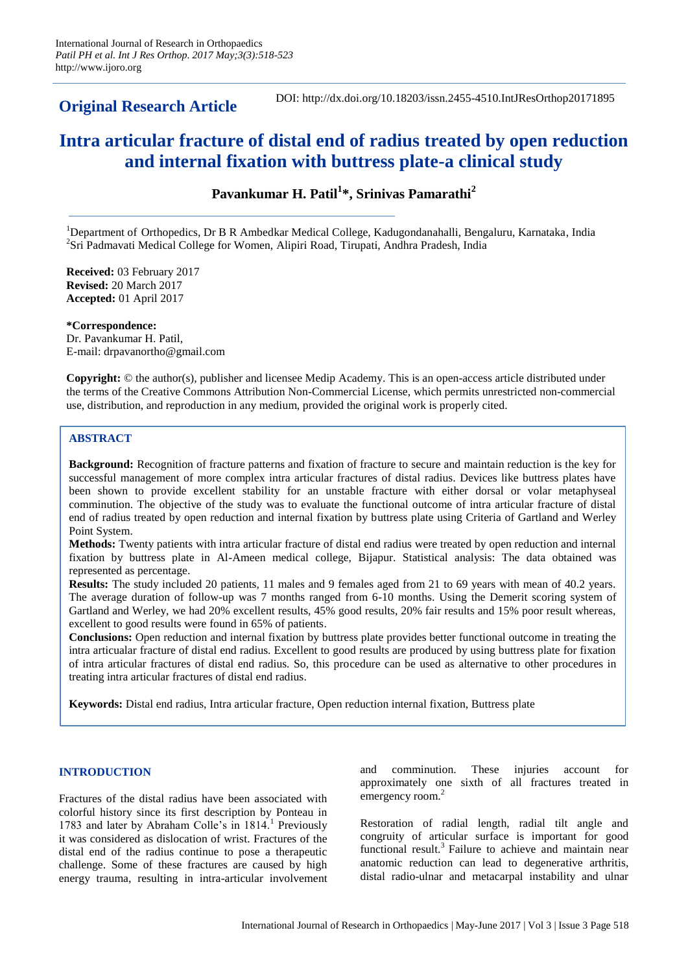**Original Research Article**

DOI: http://dx.doi.org/10.18203/issn.2455-4510.IntJResOrthop20171895

# **Intra articular fracture of distal end of radius treated by open reduction and internal fixation with buttress plate-a clinical study**

**Pavankumar H. Patil<sup>1</sup> \*, Srinivas Pamarathi<sup>2</sup>**

<sup>1</sup>Department of Orthopedics, Dr B R Ambedkar Medical College, Kadugondanahalli, Bengaluru, Karnataka, India <sup>2</sup>Sri Padmavati Medical College for Women, Alipiri Road, Tirupati, Andhra Pradesh, India

**Received:** 03 February 2017 **Revised:** 20 March 2017 **Accepted:** 01 April 2017

**\*Correspondence:** Dr. Pavankumar H. Patil, E-mail: drpavanortho@gmail.com

**Copyright:** © the author(s), publisher and licensee Medip Academy. This is an open-access article distributed under the terms of the Creative Commons Attribution Non-Commercial License, which permits unrestricted non-commercial use, distribution, and reproduction in any medium, provided the original work is properly cited.

# **ABSTRACT**

**Background:** Recognition of fracture patterns and fixation of fracture to secure and maintain reduction is the key for successful management of more complex intra articular fractures of distal radius. Devices like buttress plates have been shown to provide excellent stability for an unstable fracture with either dorsal or volar metaphyseal comminution. The objective of the study was to evaluate the functional outcome of intra articular fracture of distal end of radius treated by open reduction and internal fixation by buttress plate using Criteria of Gartland and Werley Point System.

**Methods:** Twenty patients with intra articular fracture of distal end radius were treated by open reduction and internal fixation by buttress plate in Al-Ameen medical college, Bijapur. Statistical analysis: The data obtained was represented as percentage.

**Results:** The study included 20 patients, 11 males and 9 females aged from 21 to 69 years with mean of 40.2 years. The average duration of follow-up was 7 months ranged from 6-10 months. Using the Demerit scoring system of Gartland and Werley, we had 20% excellent results, 45% good results, 20% fair results and 15% poor result whereas, excellent to good results were found in 65% of patients.

**Conclusions:** Open reduction and internal fixation by buttress plate provides better functional outcome in treating the intra articualar fracture of distal end radius. Excellent to good results are produced by using buttress plate for fixation of intra articular fractures of distal end radius. So, this procedure can be used as alternative to other procedures in treating intra articular fractures of distal end radius.

**Keywords:** Distal end radius, Intra articular fracture, Open reduction internal fixation, Buttress plate

## **INTRODUCTION**

Fractures of the distal radius have been associated with colorful history since its first description by Ponteau in 1783 and later by Abraham Colle's in 1814.<sup>1</sup> Previously it was considered as dislocation of wrist. Fractures of the distal end of the radius continue to pose a therapeutic challenge. Some of these fractures are caused by high energy trauma, resulting in intra-articular involvement and comminution. These injuries account for approximately one sixth of all fractures treated in emergency room.<sup>2</sup>

Restoration of radial length, radial tilt angle and congruity of articular surface is important for good functional result. $3$  Failure to achieve and maintain near anatomic reduction can lead to degenerative arthritis, distal radio-ulnar and metacarpal instability and ulnar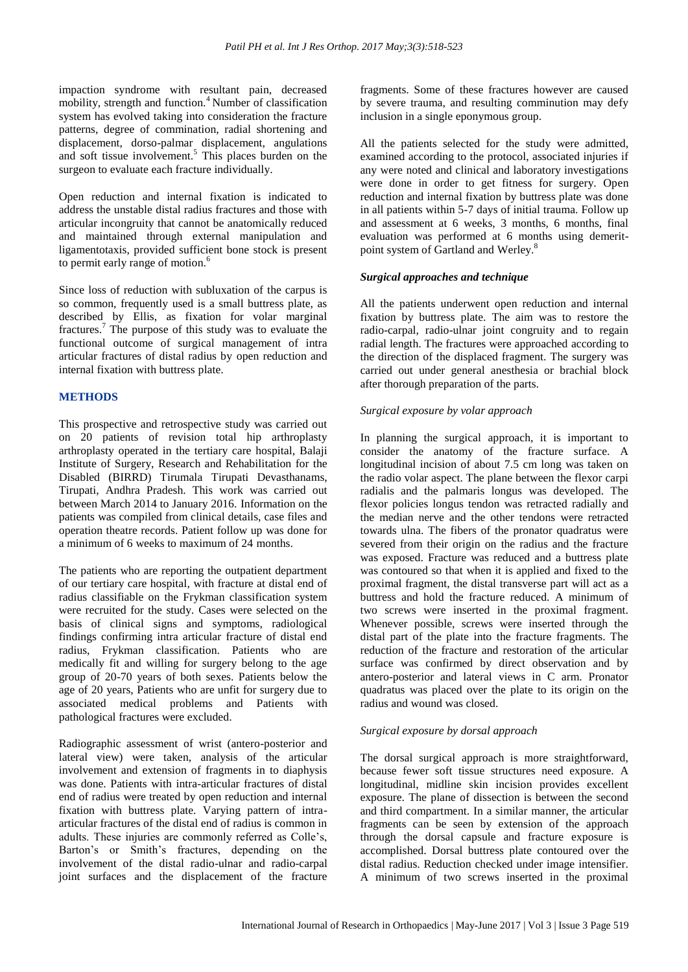impaction syndrome with resultant pain, decreased mobility, strength and function.<sup>4</sup> Number of classification system has evolved taking into consideration the fracture patterns, degree of commination, radial shortening and displacement, dorso-palmar displacement, angulations and soft tissue involvement.<sup>5</sup> This places burden on the surgeon to evaluate each fracture individually.

Open reduction and internal fixation is indicated to address the unstable distal radius fractures and those with articular incongruity that cannot be anatomically reduced and maintained through external manipulation and ligamentotaxis, provided sufficient bone stock is present to permit early range of motion.<sup>6</sup>

Since loss of reduction with subluxation of the carpus is so common, frequently used is a small buttress plate, as described by Ellis, as fixation for volar marginal fractures.<sup>7</sup> The purpose of this study was to evaluate the functional outcome of surgical management of intra articular fractures of distal radius by open reduction and internal fixation with buttress plate.

# **METHODS**

This prospective and retrospective study was carried out on 20 patients of revision total hip arthroplasty arthroplasty operated in the tertiary care hospital, Balaji Institute of Surgery, Research and Rehabilitation for the Disabled (BIRRD) Tirumala Tirupati Devasthanams, Tirupati, Andhra Pradesh. This work was carried out between March 2014 to January 2016. Information on the patients was compiled from clinical details, case files and operation theatre records. Patient follow up was done for a minimum of 6 weeks to maximum of 24 months.

The patients who are reporting the outpatient department of our tertiary care hospital, with fracture at distal end of radius classifiable on the Frykman classification system were recruited for the study. Cases were selected on the basis of clinical signs and symptoms, radiological findings confirming intra articular fracture of distal end radius, Frykman classification. Patients who are medically fit and willing for surgery belong to the age group of 20-70 years of both sexes. Patients below the age of 20 years, Patients who are unfit for surgery due to associated medical problems and Patients with pathological fractures were excluded.

Radiographic assessment of wrist (antero-posterior and lateral view) were taken, analysis of the articular involvement and extension of fragments in to diaphysis was done. Patients with intra-articular fractures of distal end of radius were treated by open reduction and internal fixation with buttress plate. Varying pattern of intraarticular fractures of the distal end of radius is common in adults. These injuries are commonly referred as Colle's, Barton's or Smith's fractures, depending on the involvement of the distal radio-ulnar and radio-carpal joint surfaces and the displacement of the fracture fragments. Some of these fractures however are caused by severe trauma, and resulting comminution may defy inclusion in a single eponymous group.

All the patients selected for the study were admitted, examined according to the protocol, associated injuries if any were noted and clinical and laboratory investigations were done in order to get fitness for surgery. Open reduction and internal fixation by buttress plate was done in all patients within 5-7 days of initial trauma. Follow up and assessment at 6 weeks, 3 months, 6 months, final evaluation was performed at 6 months using demeritpoint system of Gartland and Werley. 8

# *Surgical approaches and technique*

All the patients underwent open reduction and internal fixation by buttress plate. The aim was to restore the radio-carpal, radio-ulnar joint congruity and to regain radial length. The fractures were approached according to the direction of the displaced fragment. The surgery was carried out under general anesthesia or brachial block after thorough preparation of the parts.

# *Surgical exposure by volar approach*

In planning the surgical approach, it is important to consider the anatomy of the fracture surface. A longitudinal incision of about 7.5 cm long was taken on the radio volar aspect. The plane between the flexor carpi radialis and the palmaris longus was developed. The flexor policies longus tendon was retracted radially and the median nerve and the other tendons were retracted towards ulna. The fibers of the pronator quadratus were severed from their origin on the radius and the fracture was exposed. Fracture was reduced and a buttress plate was contoured so that when it is applied and fixed to the proximal fragment, the distal transverse part will act as a buttress and hold the fracture reduced. A minimum of two screws were inserted in the proximal fragment. Whenever possible, screws were inserted through the distal part of the plate into the fracture fragments. The reduction of the fracture and restoration of the articular surface was confirmed by direct observation and by antero-posterior and lateral views in C arm. Pronator quadratus was placed over the plate to its origin on the radius and wound was closed.

## *Surgical exposure by dorsal approach*

The dorsal surgical approach is more straightforward, because fewer soft tissue structures need exposure. A longitudinal, midline skin incision provides excellent exposure. The plane of dissection is between the second and third compartment. In a similar manner, the articular fragments can be seen by extension of the approach through the dorsal capsule and fracture exposure is accomplished. Dorsal buttress plate contoured over the distal radius. Reduction checked under image intensifier. A minimum of two screws inserted in the proximal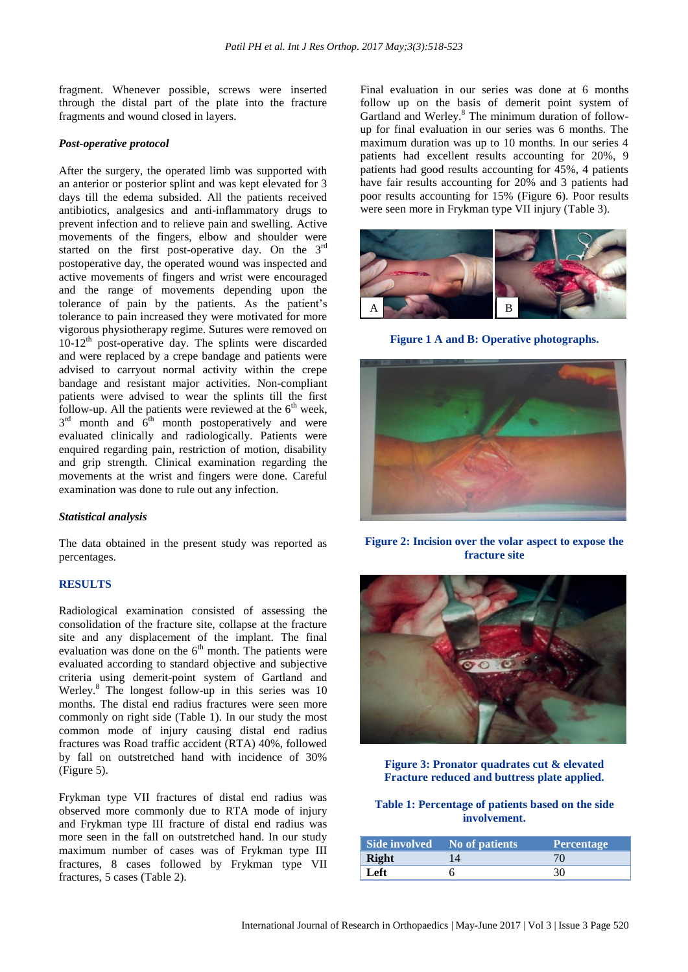fragment. Whenever possible, screws were inserted through the distal part of the plate into the fracture fragments and wound closed in layers.

#### *Post-operative protocol*

After the surgery, the operated limb was supported with an anterior or posterior splint and was kept elevated for 3 days till the edema subsided. All the patients received antibiotics, analgesics and anti-inflammatory drugs to prevent infection and to relieve pain and swelling. Active movements of the fingers, elbow and shoulder were started on the first post-operative day. On the 3<sup>rd</sup> postoperative day, the operated wound was inspected and active movements of fingers and wrist were encouraged and the range of movements depending upon the tolerance of pain by the patients. As the patient's tolerance to pain increased they were motivated for more vigorous physiotherapy regime. Sutures were removed on  $10-12<sup>th</sup>$  post-operative day. The splints were discarded and were replaced by a crepe bandage and patients were advised to carryout normal activity within the crepe bandage and resistant major activities. Non-compliant patients were advised to wear the splints till the first follow-up. All the patients were reviewed at the  $6<sup>th</sup>$  week,  $3<sup>rd</sup>$  month and  $6<sup>th</sup>$  month postoperatively and were evaluated clinically and radiologically. Patients were enquired regarding pain, restriction of motion, disability and grip strength. Clinical examination regarding the movements at the wrist and fingers were done. Careful examination was done to rule out any infection.

#### *Statistical analysis*

The data obtained in the present study was reported as percentages.

#### **RESULTS**

Radiological examination consisted of assessing the consolidation of the fracture site, collapse at the fracture site and any displacement of the implant. The final evaluation was done on the  $6<sup>th</sup>$  month. The patients were evaluated according to standard objective and subjective criteria using demerit-point system of Gartland and Werley. <sup>8</sup> The longest follow-up in this series was 10 months. The distal end radius fractures were seen more commonly on right side (Table 1). In our study the most common mode of injury causing distal end radius fractures was Road traffic accident (RTA) 40%, followed by fall on outstretched hand with incidence of 30% (Figure 5).

Frykman type VII fractures of distal end radius was observed more commonly due to RTA mode of injury and Frykman type III fracture of distal end radius was more seen in the fall on outstretched hand. In our study maximum number of cases was of Frykman type III fractures, 8 cases followed by Frykman type VII fractures, 5 cases (Table 2).

Final evaluation in our series was done at 6 months follow up on the basis of demerit point system of Gartland and Werley.<sup>8</sup> The minimum duration of followup for final evaluation in our series was 6 months. The maximum duration was up to 10 months. In our series 4 patients had excellent results accounting for 20%, 9 patients had good results accounting for 45%, 4 patients have fair results accounting for 20% and 3 patients had poor results accounting for 15% (Figure 6). Poor results were seen more in Frykman type VII injury (Table 3).



**Figure 1 A and B: Operative photographs.**



**Figure 2: Incision over the volar aspect to expose the fracture site**



**Figure 3: Pronator quadrates cut & elevated Fracture reduced and buttress plate applied.**

# **Table 1: Percentage of patients based on the side involvement.**

|       | Side involved No of patients | <b>Percentage</b> |
|-------|------------------------------|-------------------|
| Right |                              |                   |
| Left  |                              | 30                |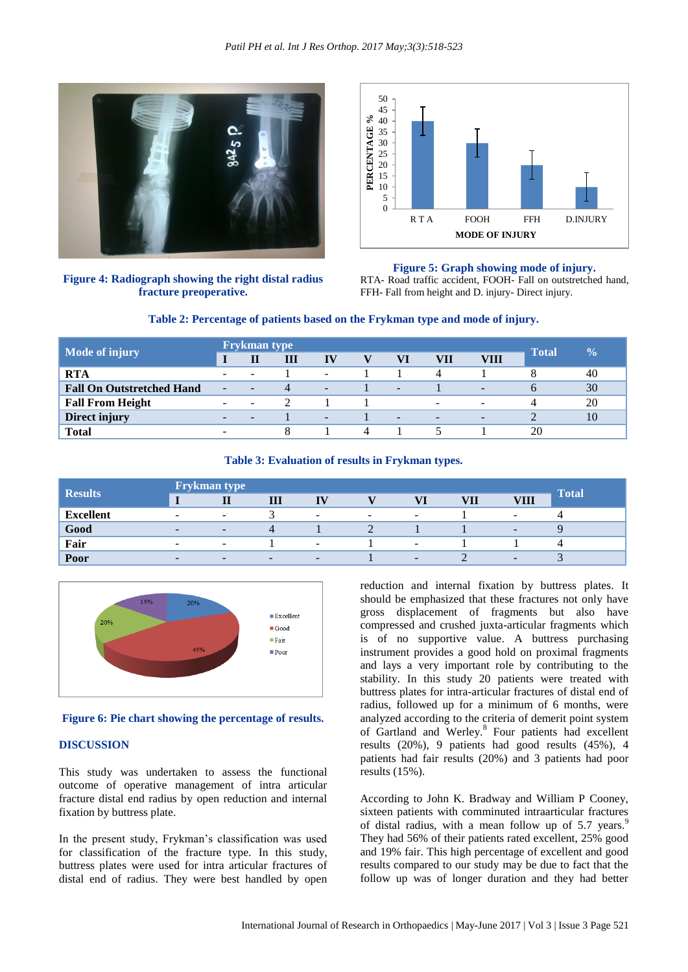

**Figure 4: Radiograph showing the right distal radius fracture preoperative.**



#### **Figure 5: Graph showing mode of injury.**

RTA- Road traffic accident, FOOH- Fall on outstretched hand, FFH- Fall from height and D. injury- Direct injury.



| <b>Mode of injury</b>            | <b>Frykman type</b>      |                          |   |                          |   |                          |                          |                          | $\overline{\mathbf{0}}_{\mathbf{0}}$ |    |
|----------------------------------|--------------------------|--------------------------|---|--------------------------|---|--------------------------|--------------------------|--------------------------|--------------------------------------|----|
|                                  |                          | П                        | Ш | IV                       |   | VI                       | VII                      | VIII                     | <b>Total</b>                         |    |
| <b>RTA</b>                       | $\sim$                   |                          |   | $\overline{\phantom{a}}$ |   |                          | Δ                        |                          |                                      | 40 |
| <b>Fall On Outstretched Hand</b> | $\overline{\phantom{a}}$ | $\overline{\phantom{a}}$ |   | $\overline{\phantom{0}}$ |   | $\overline{\phantom{a}}$ |                          | $\overline{\phantom{a}}$ |                                      | 30 |
| <b>Fall From Height</b>          | $\overline{\phantom{a}}$ | -                        |   |                          |   |                          | $\sim$                   | $\overline{\phantom{a}}$ |                                      | 20 |
| Direct injury                    | $\overline{\phantom{0}}$ |                          |   | ۰                        |   | $\overline{\phantom{a}}$ | $\overline{\phantom{a}}$ | $\overline{\phantom{a}}$ |                                      | 10 |
| <b>Total</b>                     |                          |                          |   |                          | 4 |                          |                          |                          | 20                                   |    |

## **Table 3: Evaluation of results in Frykman types.**

| <b>Results</b>   | <b>Frykman type</b>      |                          |   |                          |                          |                          |     |                          | <b>Total</b> |
|------------------|--------------------------|--------------------------|---|--------------------------|--------------------------|--------------------------|-----|--------------------------|--------------|
|                  |                          |                          | Ш | <b>TV</b>                |                          |                          | VII | <b>VIII</b>              |              |
| <b>Excellent</b> | $\overline{\phantom{0}}$ | $\overline{\phantom{0}}$ |   | $\overline{\phantom{0}}$ | $\overline{\phantom{0}}$ | $\overline{\phantom{0}}$ |     | -                        |              |
| Good             | $\overline{\phantom{a}}$ | $\overline{\phantom{a}}$ | 4 |                          |                          |                          |     | $\overline{\phantom{0}}$ |              |
| Fair             | $\overline{\phantom{0}}$ | $\overline{\phantom{0}}$ |   | -                        |                          | ۰                        |     |                          |              |
| Poor             | $\overline{\phantom{a}}$ | $\overline{\phantom{0}}$ | - | -                        |                          | $\sim$                   |     | -                        |              |



## **Figure 6: Pie chart showing the percentage of results.**

#### **DISCUSSION**

This study was undertaken to assess the functional outcome of operative management of intra articular fracture distal end radius by open reduction and internal fixation by buttress plate.

In the present study, Frykman's classification was used for classification of the fracture type. In this study, buttress plates were used for intra articular fractures of distal end of radius. They were best handled by open reduction and internal fixation by buttress plates. It should be emphasized that these fractures not only have gross displacement of fragments but also have compressed and crushed juxta-articular fragments which is of no supportive value. A buttress purchasing instrument provides a good hold on proximal fragments and lays a very important role by contributing to the stability. In this study 20 patients were treated with buttress plates for intra-articular fractures of distal end of radius, followed up for a minimum of 6 months, were analyzed according to the criteria of demerit point system of Gartland and Werley.<sup>8</sup> Four patients had excellent results (20%), 9 patients had good results (45%), 4 patients had fair results (20%) and 3 patients had poor results (15%).

According to John K. Bradway and William P Cooney, sixteen patients with comminuted intraarticular fractures of distal radius, with a mean follow up of  $5.7$  years.<sup>9</sup> They had 56% of their patients rated excellent, 25% good and 19% fair. This high percentage of excellent and good results compared to our study may be due to fact that the follow up was of longer duration and they had better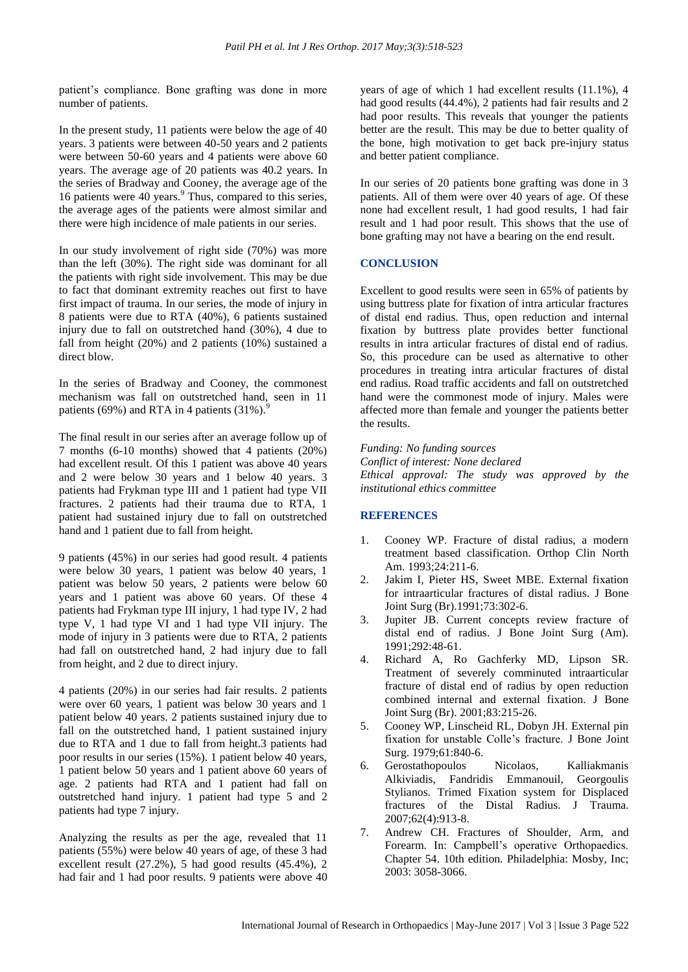patient's compliance. Bone grafting was done in more number of patients.

In the present study, 11 patients were below the age of 40 years. 3 patients were between 40-50 years and 2 patients were between 50-60 years and 4 patients were above 60 years. The average age of 20 patients was 40.2 years. In the series of Bradway and Cooney, the average age of the 16 patients were 40 years.<sup>9</sup> Thus, compared to this series, the average ages of the patients were almost similar and there were high incidence of male patients in our series.

In our study involvement of right side (70%) was more than the left (30%). The right side was dominant for all the patients with right side involvement. This may be due to fact that dominant extremity reaches out first to have first impact of trauma. In our series, the mode of injury in 8 patients were due to RTA (40%), 6 patients sustained injury due to fall on outstretched hand (30%), 4 due to fall from height (20%) and 2 patients (10%) sustained a direct blow.

In the series of Bradway and Cooney, the commonest mechanism was fall on outstretched hand, seen in 11 patients (69%) and RTA in 4 patients  $(31\%)$ .

The final result in our series after an average follow up of 7 months (6-10 months) showed that 4 patients (20%) had excellent result. Of this 1 patient was above 40 years and 2 were below 30 years and 1 below 40 years. 3 patients had Frykman type III and 1 patient had type VII fractures. 2 patients had their trauma due to RTA, 1 patient had sustained injury due to fall on outstretched hand and 1 patient due to fall from height.

9 patients (45%) in our series had good result. 4 patients were below 30 years, 1 patient was below 40 years, 1 patient was below 50 years, 2 patients were below 60 years and 1 patient was above 60 years. Of these 4 patients had Frykman type III injury, 1 had type IV, 2 had type V, 1 had type VI and 1 had type VII injury. The mode of injury in 3 patients were due to RTA, 2 patients had fall on outstretched hand, 2 had injury due to fall from height, and 2 due to direct injury.

4 patients (20%) in our series had fair results. 2 patients were over 60 years, 1 patient was below 30 years and 1 patient below 40 years. 2 patients sustained injury due to fall on the outstretched hand, 1 patient sustained injury due to RTA and 1 due to fall from height.3 patients had poor results in our series (15%). 1 patient below 40 years, 1 patient below 50 years and 1 patient above 60 years of age. 2 patients had RTA and 1 patient had fall on outstretched hand injury. 1 patient had type 5 and 2 patients had type 7 injury.

Analyzing the results as per the age, revealed that 11 patients (55%) were below 40 years of age, of these 3 had excellent result (27.2%), 5 had good results (45.4%), 2 had fair and 1 had poor results. 9 patients were above 40 years of age of which 1 had excellent results (11.1%), 4 had good results (44.4%), 2 patients had fair results and 2 had poor results. This reveals that younger the patients better are the result. This may be due to better quality of the bone, high motivation to get back pre-injury status and better patient compliance.

In our series of 20 patients bone grafting was done in 3 patients. All of them were over 40 years of age. Of these none had excellent result, 1 had good results, 1 had fair result and 1 had poor result. This shows that the use of bone grafting may not have a bearing on the end result.

## **CONCLUSION**

Excellent to good results were seen in 65% of patients by using buttress plate for fixation of intra articular fractures of distal end radius. Thus, open reduction and internal fixation by buttress plate provides better functional results in intra articular fractures of distal end of radius. So, this procedure can be used as alternative to other procedures in treating intra articular fractures of distal end radius. Road traffic accidents and fall on outstretched hand were the commonest mode of injury. Males were affected more than female and younger the patients better the results.

*Funding: No funding sources Conflict of interest: None declared Ethical approval: The study was approved by the institutional ethics committee*

# **REFERENCES**

- 1. Cooney WP. Fracture of distal radius, a modern treatment based classification. Orthop Clin North Am. 1993;24:211-6.
- 2. Jakim I, Pieter HS, Sweet MBE. External fixation for intraarticular fractures of distal radius. J Bone Joint Surg (Br).1991;73:302-6.
- 3. Jupiter JB. Current concepts review fracture of distal end of radius. J Bone Joint Surg (Am). 1991;292:48-61.
- 4. Richard A, Ro Gachferky MD, Lipson SR. Treatment of severely comminuted intraarticular fracture of distal end of radius by open reduction combined internal and external fixation. J Bone Joint Surg (Br). 2001;83:215-26.
- 5. Cooney WP, Linscheid RL, Dobyn JH. External pin fixation for unstable Colle's fracture. J Bone Joint Surg. 1979;61:840-6.
- 6. Gerostathopoulos Nicolaos, Kalliakmanis Alkiviadis, Fandridis Emmanouil, Georgoulis Stylianos. Trimed Fixation system for Displaced fractures of the Distal Radius. J Trauma. 2007;62(4):913-8.
- 7. Andrew CH. Fractures of Shoulder, Arm, and Forearm. In: Campbell's operative Orthopaedics. Chapter 54. 10th edition. Philadelphia: Mosby, Inc; 2003: 3058-3066.